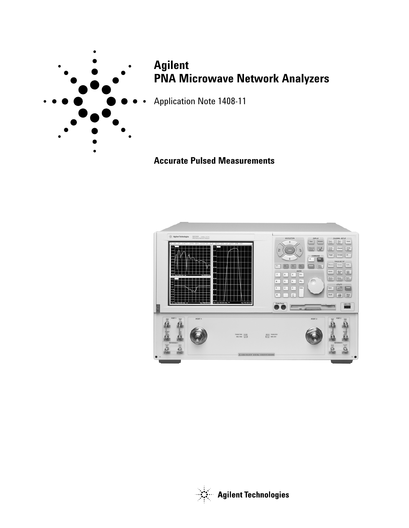

# **Agilent PNA Microwave Network Analyzers**

Application Note 1408-11

# **Accurate Pulsed Measurements**



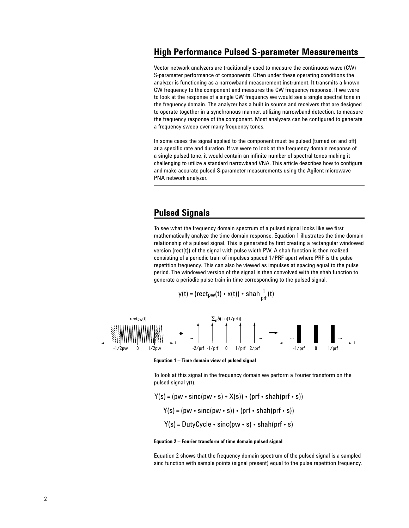### **High Performance Pulsed S-parameter Measurements**

Vector network analyzers are traditionally used to measure the continuous wave (CW) S-parameter performance of components. Often under these operating conditions the analyzer is functioning as a narrowband measurement instrument. It transmits a known CW frequency to the component and measures the CW frequency response. If we were to look at the response of a single CW frequency we would see a single spectral tone in the frequency domain. The analyzer has a built in source and receivers that are designed to operate together in a synchronous manner, utilizing narrowband detection, to measure the frequency response of the component. Most analyzers can be configured to generate a frequency sweep over many frequency tones.

In some cases the signal applied to the component must be pulsed (turned on and off) at a specific rate and duration. If we were to look at the frequency domain response of a single pulsed tone, it would contain an infinite number of spectral tones making it challenging to utilize a standard narrowband VNA. This article describes how to configure and make accurate pulsed S-parameter measurements using the Agilent microwave PNA network analyzer.

### **Pulsed Signals**

To see what the frequency domain spectrum of a pulsed signal looks like we first mathematically analyze the time domain response. Equation 1 illustrates the time domain relationship of a pulsed signal. This is generated by first creating a rectangular windowed version (rect(t)) of the signal with pulse width PW. A shah function is then realized consisting of a periodic train of impulses spaced 1/PRF apart where PRF is the pulse repetition frequency. This can also be viewed as impulses at spacing equal to the pulse period. The windowed version of the signal is then convolved with the shah function to generate a periodic pulse train in time corresponding to the pulsed signal.

$$
y(t) = (rect_{pw}(t) \cdot x(t)) * \text{shah} \frac{1}{prf}(t)
$$



**Equation 1 – Time domain view of pulsed signal**

To look at this signal in the frequency domain we perform a Fourier transform on the pulsed signal y(t).

 $Y(s) = (pw \cdot sinc(pw \cdot s) * X(s)) \cdot (prf \cdot shah(prf \cdot s))$  $Y(s) = (pw \cdot sinc(pw \cdot s)) \cdot (prf \cdot shah(prf \cdot s))$  $Y(s) = DutyCycle \cdot sinc(pw \cdot s) \cdot shah(prf \cdot s)$ 

#### **Equation 2 – Fourier transform of time domain pulsed signal**

Equation 2 shows that the frequency domain spectrum of the pulsed signal is a sampled sinc function with sample points (signal present) equal to the pulse repetition frequency.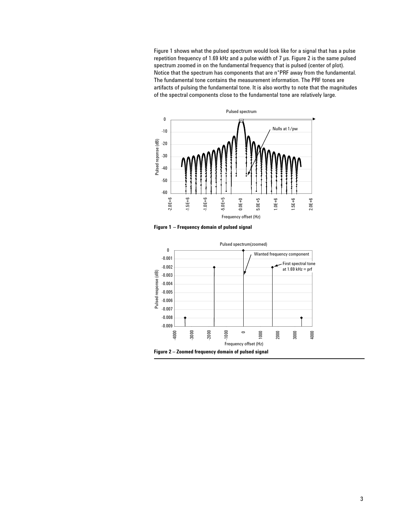Figure 1 shows what the pulsed spectrum would look like for a signal that has a pulse repetition frequency of 1.69 kHz and a pulse width of 7 µs. Figure 2 is the same pulsed spectrum zoomed in on the fundamental frequency that is pulsed (center of plot). Notice that the spectrum has components that are n\*PRF away from the fundamental. The fundamental tone contains the measurement information. The PRF tones are artifacts of pulsing the fundamental tone. It is also worthy to note that the magnitudes of the spectral components close to the fundamental tone are relatively large.



**Figure 1 – Frequency domain of pulsed signal**

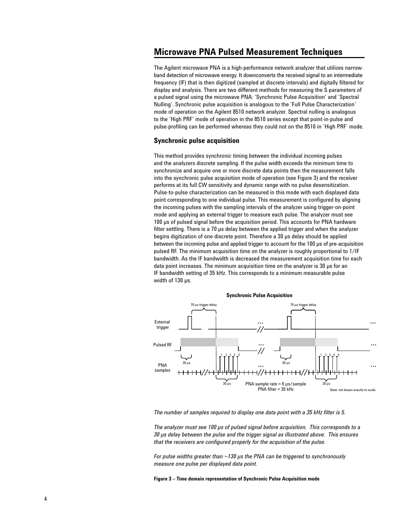# **Microwave PNA Pulsed Measurement Techniques**

The Agilent microwave PNA is a high-performance network analyzer that utilizes narrowband detection of microwave energy. It downconverts the received signal to an intermediate frequency (IF) that is then digitized (sampled at discrete intervals) and digitally filtered for display and analysis. There are two different methods for measuring the S-parameters of a pulsed signal using the microwave PNA: 'Synchronic Pulse Acquisition' and 'Spectral Nulling'. Synchronic pulse acquisition is analogous to the 'Full Pulse Characterization' mode of operation on the Agilent 8510 network analyzer. Spectral nulling is analogous to the 'High PRF' mode of operation in the 8510 series except that point-in-pulse and pulse-profiling can be performed whereas they could not on the 8510 in 'High PRF' mode.

### **Synchronic pulse acquisition**

This method provides synchronic timing between the individual incoming pulses and the analyzers discrete sampling. If the pulse width exceeds the minimum time to synchronize and acquire one or more discrete data points then the measurement falls into the synchronic pulse acquisition mode of operation (see Figure 3) and the receiver performs at its full CW sensitivity and dynamic range with no pulse desensitization. Pulse-to-pulse characterization can be measured in this mode with each displayed data point corresponding to one individual pulse. This measurement is configured by aligning the incoming pulses with the sampling intervals of the analyzer using trigger-on-point mode and applying an external trigger to measure each pulse. The analyzer must see 100 µs of pulsed signal before the acquisition period. This accounts for PNA hardware filter settling. There is a 70 µs delay between the applied trigger and when the analyzer begins digitization of one discrete point. Therefore a 30 µs delay should be applied between the incoming pulse and applied trigger to account for the 100 µs of pre-acquisition pulsed RF. The minimum acquisition time on the analyzer is roughly proportional to 1/IF bandwidth. As the IF bandwidth is decreased the measurement acquisition time for each data point increases. The minimum acquisition time on the analyzer is 30 µs for an IF bandwidth setting of 35 kHz. This corresponds to a minimum measurable pulse width of 130 µs.



*The number of samples required to display one data point with a 35 kHz filter is 5.* 

*The analyzer must see 100 µs of pulsed signal before acquisition. This corresponds to a 30 µs delay between the pulse and the trigger signal as illustrated above. This ensures that the receivers are configured properly for the acquisition of the pulse.*

*For pulse widths greater than ~130 µs the PNA can be triggered to synchronously measure one pulse per displayed data point.*

**Figure 3 – Time domain representation of Synchronic Pulse Acquisition mode**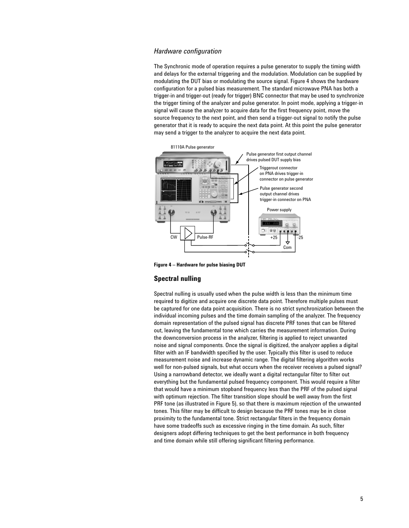### *Hardware configuration*

The Synchronic mode of operation requires a pulse generator to supply the timing width and delays for the external triggering and the modulation. Modulation can be supplied by modulating the DUT bias or modulating the source signal. Figure 4 shows the hardware configuration for a pulsed bias measurement. The standard microwave PNA has both a trigger-in and trigger-out (ready for trigger) BNC connector that may be used to synchronize the trigger timing of the analyzer and pulse generator. In point mode, applying a trigger-in signal will cause the analyzer to acquire data for the first frequency point, move the source frequency to the next point, and then send a trigger-out signal to notify the pulse generator that it is ready to acquire the next data point. At this point the pulse generator may send a trigger to the analyzer to acquire the next data point.



**Figure 4 – Hardware for pulse biasing DUT**

### **Spectral nulling**

Spectral nulling is usually used when the pulse width is less than the minimum time required to digitize and acquire one discrete data point. Therefore multiple pulses must be captured for one data point acquisition. There is no strict synchronization between the individual incoming pulses and the time domain sampling of the analyzer. The frequency domain representation of the pulsed signal has discrete PRF tones that can be filtered out, leaving the fundamental tone which carries the measurement information. During the downconversion process in the analyzer, filtering is applied to reject unwanted noise and signal components. Once the signal is digitized, the analyzer applies a digital filter with an IF bandwidth specified by the user. Typically this filter is used to reduce measurement noise and increase dynamic range. The digital filtering algorithm works well for non-pulsed signals, but what occurs when the receiver receives a pulsed signal? Using a narrowband detector, we ideally want a digital rectangular filter to filter out everything but the fundamental pulsed frequency component. This would require a filter that would have a minimum stopband frequency less than the PRF of the pulsed signal with optimum rejection. The filter transition slope should be well away from the first PRF tone (as illustrated in Figure 5), so that there is maximum rejection of the unwanted tones. This filter may be difficult to design because the PRF tones may be in close proximity to the fundamental tone. Strict rectangular filters in the frequency domain have some tradeoffs such as excessive ringing in the time domain. As such, filter designers adopt differing techniques to get the best performance in both frequency and time domain while still offering significant filtering performance.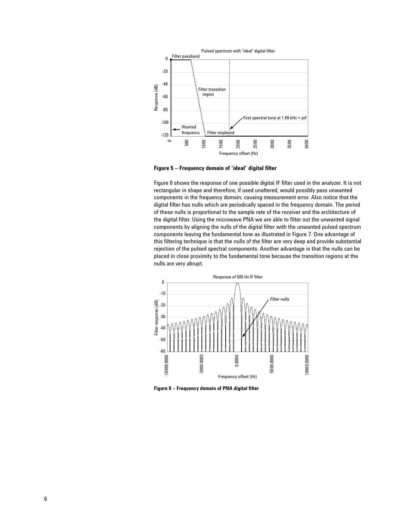

**Figure 5 – Frequency domain of 'ideal' digital filter**

Figure 6 shows the response of one possible digital IF filter used in the analyzer. It is not rectangular in shape and therefore, if used unaltered, would possibly pass unwanted components in the frequency domain, causing measurement error. Also notice that the digital filter has nulls which are periodically spaced in the frequency domain. The period of these nulls is proportional to the sample rate of the receiver and the architecture of the digital filter. Using the microwave PNA we are able to filter out the unwanted signal components by aligning the nulls of the digital filter with the unwanted pulsed spectrum components leaving the fundamental tone as illustrated in Figure 7. One advantage of this filtering technique is that the nulls of the filter are very deep and provide substantial rejection of the pulsed spectral components. Another advantage is that the nulls can be placed in close proximity to the fundamental tone because the transition regions at the nulls are very abrupt.



**Figure 6 – Frequency domain of PNA digital filter**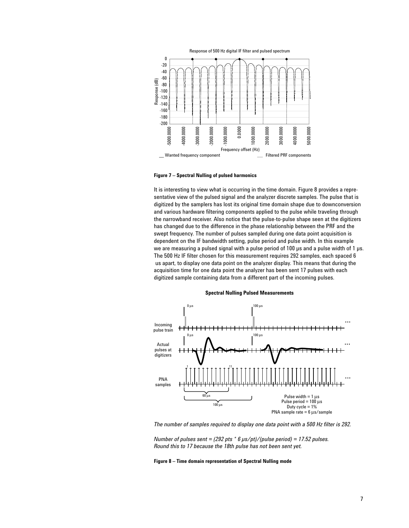

### **Figure 7 – Spectral Nulling of pulsed harmonics**

It is interesting to view what is occurring in the time domain. Figure 8 provides a representative view of the pulsed signal and the analyzer discrete samples. The pulse that is digitized by the samplers has lost its original time domain shape due to downconversion and various hardware filtering components applied to the pulse while traveling through the narrowband receiver. Also notice that the pulse-to-pulse shape seen at the digitizers has changed due to the difference in the phase relationship between the PRF and the swept frequency. The number of pulses sampled during one data point acquisition is dependent on the IF bandwidth setting, pulse period and pulse width. In this example we are measuring a pulsed signal with a pulse period of 100 us and a pulse width of 1 us. The 500 Hz IF filter chosen for this measurement requires 292 samples, each spaced 6 us apart, to display one data point on the analyzer display. This means that during the acquisition time for one data point the analyzer has been sent 17 pulses with each digitized sample containing data from a different part of the incoming pulses.



**Spectral Nulling Pulsed Measurements**

*The number of samples required to display one data point with a 500 Hz filter is 292.*

*Number of pulses sent = (292 pts \* 6 µs/pt)/(pulse period) = 17.52 pulses. Round this to 17 because the 18th pulse has not been sent yet.*

**Figure 8 – Time domain representation of Spectral Nulling mode**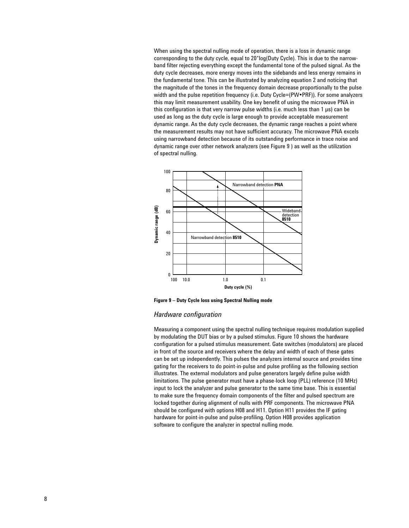When using the spectral nulling mode of operation, there is a loss in dynamic range corresponding to the duty cycle, equal to 20\*log(Duty Cycle). This is due to the narrowband filter rejecting everything except the fundamental tone of the pulsed signal. As the duty cycle decreases, more energy moves into the sidebands and less energy remains in the fundamental tone. This can be illustrated by analyzing equation 2 and noticing that the magnitude of the tones in the frequency domain decrease proportionally to the pulse width and the pulse repetition frequency (i.e. Duty Cycle=(PW•PRF)). For some analyzers this may limit measurement usability. One key benefit of using the microwave PNA in this configuration is that very narrow pulse widths (i.e. much less than 1 µs) can be used as long as the duty cycle is large enough to provide acceptable measurement dynamic range. As the duty cycle decreases, the dynamic range reaches a point where the measurement results may not have sufficient accuracy. The microwave PNA excels using narrowband detection because of its outstanding performance in trace noise and dynamic range over other network analyzers (see Figure 9 ) as well as the utilization of spectral nulling.



**Figure 9 – Duty Cycle loss using Spectral Nulling mode**

### *Hardware configuration*

Measuring a component using the spectral nulling technique requires modulation supplied by modulating the DUT bias or by a pulsed stimulus. Figure 10 shows the hardware configuration for a pulsed stimulus measurement. Gate switches (modulators) are placed in front of the source and receivers where the delay and width of each of these gates can be set up independently. This pulses the analyzers internal source and provides time gating for the receivers to do point-in-pulse and pulse profiling as the following section illustrates. The external modulators and pulse generators largely define pulse width limitations. The pulse generator must have a phase-lock loop (PLL) reference (10 MHz) input to lock the analyzer and pulse generator to the same time base. This is essential to make sure the frequency domain components of the filter and pulsed spectrum are locked together during alignment of nulls with PRF components. The microwave PNA should be configured with options H08 and H11. Option H11 provides the IF gating hardware for point-in-pulse and pulse-profiling. Option H08 provides application software to configure the analyzer in spectral nulling mode.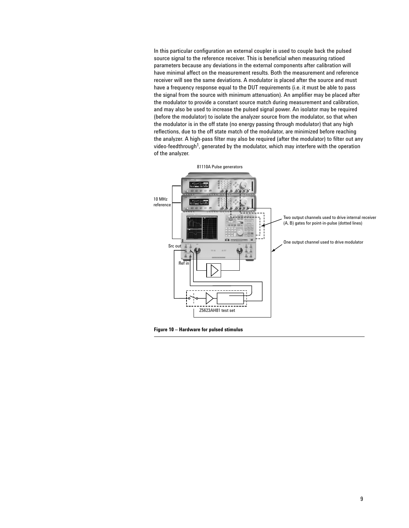In this particular configuration an external coupler is used to couple back the pulsed source signal to the reference receiver. This is beneficial when measuring ratioed parameters because any deviations in the external components after calibration will have minimal affect on the measurement results. Both the measurement and reference receiver will see the same deviations. A modulator is placed after the source and must have a frequency response equal to the DUT requirements (i.e. it must be able to pass the signal from the source with minimum attenuation). An amplifier may be placed after the modulator to provide a constant source match during measurement and calibration, and may also be used to increase the pulsed signal power. An isolator may be required (before the modulator) to isolate the analyzer source from the modulator, so that when the modulator is in the off state (no energy passing through modulator) that any high reflections, due to the off state match of the modulator, are minimized before reaching the analyzer. A high-pass filter may also be required (after the modulator) to filter out any video-feedthrough<sup>1</sup>, generated by the modulator, which may interfere with the operation of the analyzer.



**Figure 10 – Hardware for pulsed stimulus**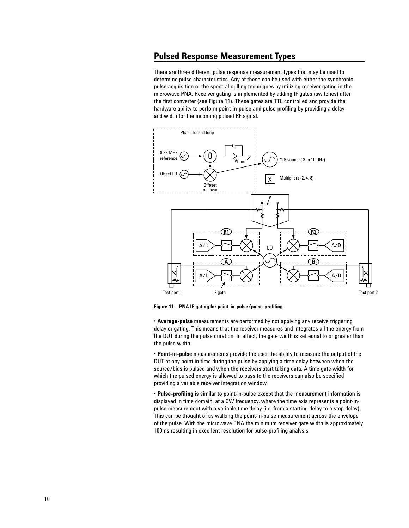# **Pulsed Response Measurement Types**

There are three different pulse response measurement types that may be used to determine pulse characteristics. Any of these can be used with either the synchronic pulse acquisition or the spectral nulling techniques by utilizing receiver gating in the microwave PNA. Receiver gating is implemented by adding IF gates (switches) after the first converter (see Figure 11). These gates are TTL controlled and provide the hardware ability to perform point-in-pulse and pulse-profiling by providing a delay and width for the incoming pulsed RF signal.



**Figure 11 – PNA IF gating for point-in-pulse/pulse-profiling**

**• Average-pulse** measurements are performed by not applying any receive triggering delay or gating. This means that the receiver measures and integrates all the energy from the DUT during the pulse duration. In effect, the gate width is set equal to or greater than the pulse width.

**• Point-in-pulse** measurements provide the user the ability to measure the output of the DUT at any point in time during the pulse by applying a time delay between when the source/bias is pulsed and when the receivers start taking data. A time gate width for which the pulsed energy is allowed to pass to the receivers can also be specified providing a variable receiver integration window.

**• Pulse-profiling** is similar to point-in-pulse except that the measurement information is displayed in time domain, at a CW frequency, where the time axis represents a point-inpulse measurement with a variable time delay (i.e. from a starting delay to a stop delay). This can be thought of as walking the point-in-pulse measurement across the envelope of the pulse. With the microwave PNA the minimum receiver gate width is approximately 100 ns resulting in excellent resolution for pulse-profiling analysis.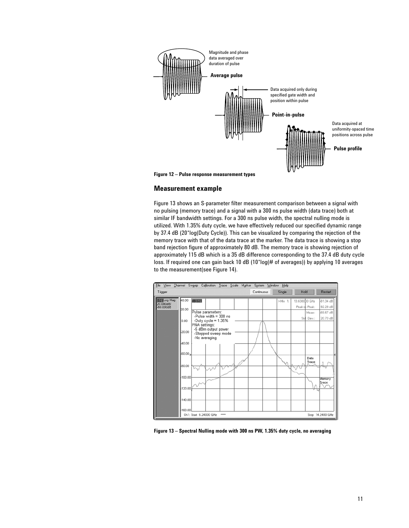

### **Measurement example**

Figure 13 shows an S-parameter filter measurement comparison between a signal with no pulsing (memory trace) and a signal with a 300 ns pulse width (data trace) both at similar IF bandwidth settings. For a 300 ns pulse width, the spectral nulling mode is utilized. With 1.35% duty cycle, we have effectively reduced our specified dynamic range by 37.4 dB (20\*log(Duty Cycle)). This can be visualized by comparing the rejection of the memory trace with that of the data trace at the marker. The data trace is showing a stop band rejection figure of approximately 80 dB. The memory trace is showing rejection of approximately 115 dB which is a 35 dB difference corresponding to the 37.4 dB duty cycle loss. If required one can gain back 10 dB (10\*log(# of averages)) by applying 10 averages to the measurement(see Figure 14).



**Figure 13 – Spectral Nulling mode with 300 ns PW, 1.35% duty cycle, no averaging**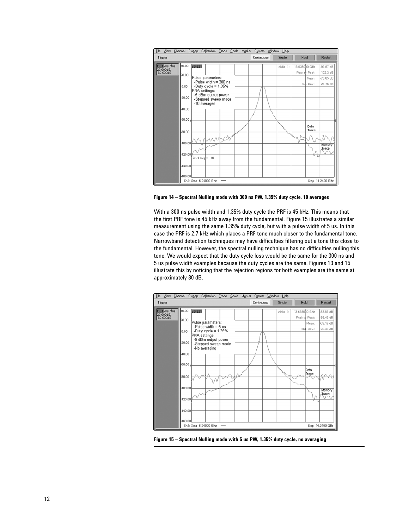

**Figure 14 – Spectral Nulling mode with 300 ns PW, 1.35% duty cycle, 10 averages**

With a 300 ns pulse width and 1.35% duty cycle the PRF is 45 kHz. This means that the first PRF tone is 45 kHz away from the fundamental. Figure 15 illustrates a similar measurement using the same 1.35% duty cycle, but with a pulse width of 5 us. In this case the PRF is 2.7 kHz which places a PRF tone much closer to the fundamental tone. Narrowband detection techniques may have difficulties filtering out a tone this close to the fundamental. However, the spectral nulling technique has no difficulties nulling this tone. We would expect that the duty cycle loss would be the same for the 300 ns and 5 us pulse width examples because the duty cycles are the same. Figures 13 and 15 illustrate this by noticing that the rejection regions for both examples are the same at approximately 80 dB.



**Figure 15 – Spectral Nulling mode with 5 us PW, 1.35% duty cycle, no averaging**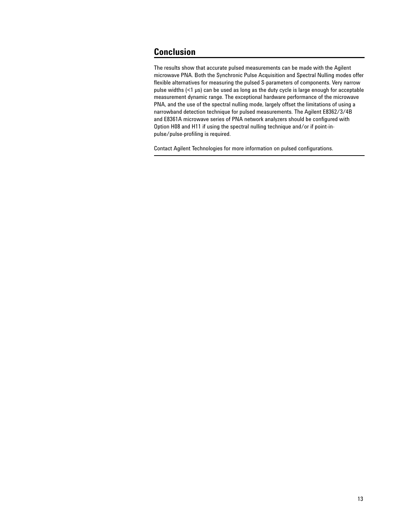# **Conclusion**

The results show that accurate pulsed measurements can be made with the Agilent microwave PNA. Both the Synchronic Pulse Acquisition and Spectral Nulling modes offer flexible alternatives for measuring the pulsed S-parameters of components. Very narrow pulse widths (<1 µs) can be used as long as the duty cycle is large enough for acceptable measurement dynamic range. The exceptional hardware performance of the microwave PNA, and the use of the spectral nulling mode, largely offset the limitations of using a narrowband detection technique for pulsed measurements. The Agilent E8362/3/4B and E8361A microwave series of PNA network analyzers should be configured with Option H08 and H11 if using the spectral nulling technique and/or if point-inpulse/pulse-profiling is required.

Contact Agilent Technologies for more information on pulsed configurations.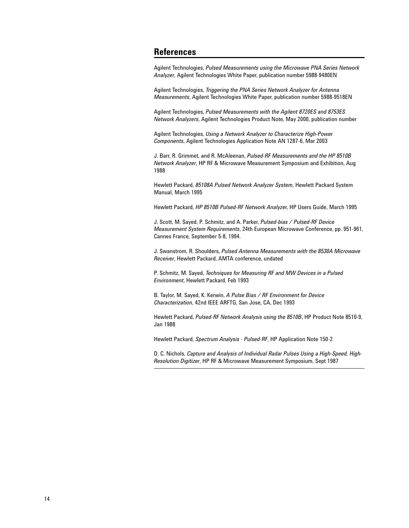# **References**

Agilent Technologies, *Pulsed Measurements using the Microwave PNA Series Network Analyzer*, Agilent Technologies White Paper, publication number 5988-9480EN

Agilent Technologies, *Triggering the PNA Series Network Analyzer for Antenna Measurements*, Agilent Technologies White Paper, publication number 5988-9518EN

Agilent Technologies, *Pulsed Measurements with the Agilent 8720ES and 8753ES Network Analyzers*, Agilent Technologies Product Note, May 2000, publication number

Agilent Technologies, *Using a Network Analyzer to Characterize High-Power Components*, Agilent Technologies Application Note AN 1287-6, Mar 2003

J. Barr, R. Grimmet, and R. McAleenan, *Pulsed-RF Measurements and the HP 8510B Network Analyzer*, HP RF & Microwave Measurement Symposium and Exhibition, Aug 1988

Hewlett Packard, *85108A Pulsed Network Analyzer System*, Hewlett Packard System Manual, March 1995

Hewlett Packard, *HP 8510B Pulsed-RF Network Analyze*r, HP Users Guide, March 1995

J. Scott, M. Sayed, P. Schmitz, and A. Parker, *Pulsed-bias / Pulsed-RF Device Measurement System Requirements*, 24th European Microwave Conference, pp. 951-961, Cannes France, September 5-8, 1994.

J. Swanstrom, R. Shoulders, *Pulsed Antenna Measurements with the 8530A Microwave Receiver*, Hewlett Packard, AMTA conference, undated

P. Schmitz, M. Sayed, *Techniques for Measuring RF and MW Devices in a Pulsed Environment*, Hewlett Packard, Feb 1993

B. Taylor, M. Sayed, K. Kerwin, *A Pulse Bias / RF Environment for Device Characterization*, 42nd IEEE ARFTG, San Jose, CA, Dec 1993

Hewlett Packard, *Pulsed-RF Network Analysis using the 8510B*, HP Product Note 8510-9, Jan 1988

Hewlett Packard, *Spectrum Analysis - Pulsed-RF*, HP Application Note 150-2

D. C. Nichols, *Capture and Analysis of Individual Radar Pulses Using a High-Speed, High-Resolution Digitizer*, HP RF & Microwave Measurement Symposium, Sept 1987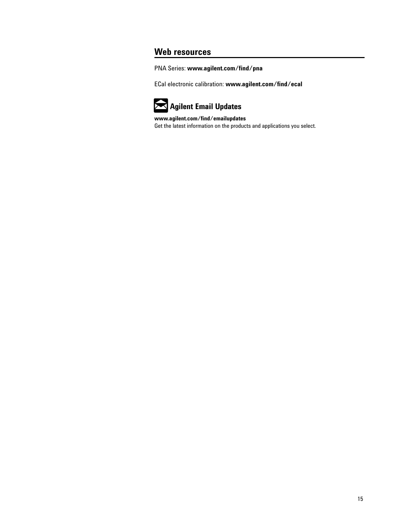# **Web resources**

PNA Series: **www.agilent.com/find/pna**

ECal electronic calibration: **www.agilent.com/find/ecal**



**www.agilent.com/find/emailupdates** Get the latest information on the products and applications you select.